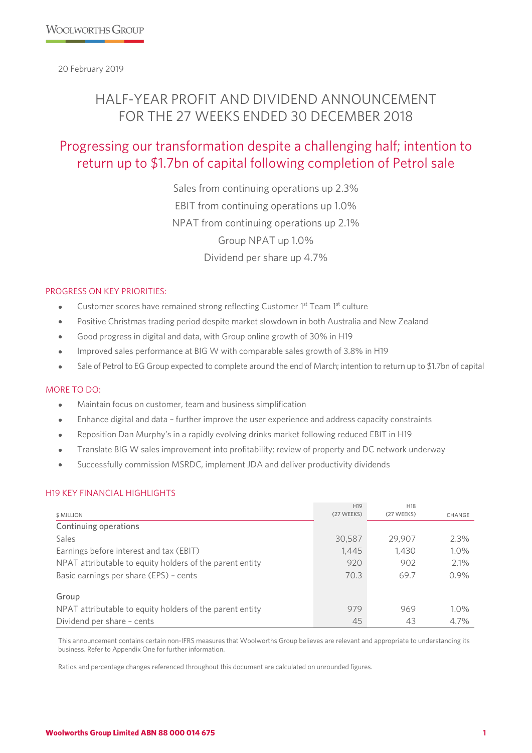20 February 2019

# HALF-YEAR PROFIT AND DIVIDEND ANNOUNCEMENT FOR THE 27 WEEKS ENDED 30 DECEMBER 2018

# Progressing our transformation despite a challenging half; intention to return up to \$1.7bn of capital following completion of Petrol sale

Sales from continuing operations up 2.3% EBIT from continuing operations up 1.0% NPAT from continuing operations up 2.1% Group NPAT up 1.0% Dividend per share up 4.7%

#### PROGRESS ON KEY PRIORITIES:

- Customer scores have remained strong reflecting Customer 1<sup>st</sup> Team 1<sup>st</sup> culture
- Positive Christmas trading period despite market slowdown in both Australia and New Zealand
- Good progress in digital and data, with Group online growth of 30% in H19
- Improved sales performance at BIG W with comparable sales growth of 3.8% in H19
- Sale of Petrol to EG Group expected to complete around the end of March; intention to return up to \$1.7bn of capital

# MORE TO DO:

- Maintain focus on customer, team and business simplification
- Enhance digital and data further improve the user experience and address capacity constraints
- Reposition Dan Murphy's in a rapidly evolving drinks market following reduced EBIT in H19
- Translate BIG W sales improvement into profitability; review of property and DC network underway
- Successfully commission MSRDC, implement JDA and deliver productivity dividends

#### H19 KEY FINANCIAL HIGHLIGHTS

|                                                          | H <sub>19</sub> | H <sub>18</sub> |         |
|----------------------------------------------------------|-----------------|-----------------|---------|
| \$ MILLION                                               | (27 WEEKS)      | (27 WEEKS)      | CHANGE  |
| Continuing operations                                    |                 |                 |         |
| Sales                                                    | 30,587          | 29,907          | $2.3\%$ |
| Earnings before interest and tax (EBIT)                  | 1,445           | 1,430           | 1.0%    |
| NPAT attributable to equity holders of the parent entity | 920             | 902             | 2.1%    |
| Basic earnings per share (EPS) - cents                   | 70.3            | 69.7            | 0.9%    |
| Group                                                    |                 |                 |         |
| NPAT attributable to equity holders of the parent entity | 979             | 969             | $1.0\%$ |
| Dividend per share - cents                               | 45              | 43              | 4.7%    |

This announcement contains certain non-IFRS measures that Woolworths Group believes are relevant and appropriate to understanding its business. Refer to Appendix One for further information.

Ratios and percentage changes referenced throughout this document are calculated on unrounded figures.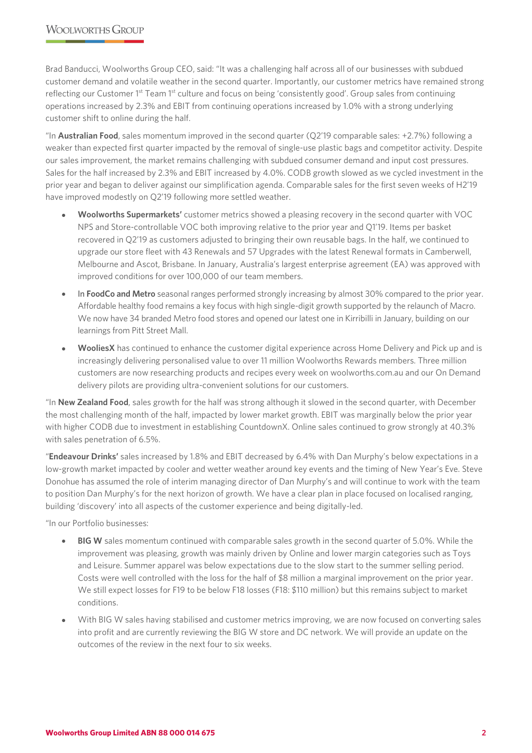Brad Banducci, Woolworths Group CEO, said: "It was a challenging half across all of our businesses with subdued customer demand and volatile weather in the second quarter. Importantly, our customer metrics have remained strong reflecting our Customer 1<sup>st</sup> Team 1<sup>st</sup> culture and focus on being 'consistently good'. Group sales from continuing operations increased by 2.3% and EBIT from continuing operations increased by 1.0% with a strong underlying customer shift to online during the half.

"In **Australian Food**, sales momentum improved in the second quarter (Q2'19 comparable sales: +2.7%) following a weaker than expected first quarter impacted by the removal of single-use plastic bags and competitor activity. Despite our sales improvement, the market remains challenging with subdued consumer demand and input cost pressures. Sales for the half increased by 2.3% and EBIT increased by 4.0%. CODB growth slowed as we cycled investment in the prior year and began to deliver against our simplification agenda. Comparable sales for the first seven weeks of H2'19 have improved modestly on Q2'19 following more settled weather.

- **Woolworths Supermarkets'** customer metrics showed a pleasing recovery in the second quarter with VOC NPS and Store-controllable VOC both improving relative to the prior year and Q1'19. Items per basket recovered in Q2'19 as customers adjusted to bringing their own reusable bags. In the half, we continued to upgrade our store fleet with 43 Renewals and 57 Upgrades with the latest Renewal formats in Camberwell, Melbourne and Ascot, Brisbane. In January, Australia's largest enterprise agreement (EA) was approved with improved conditions for over 100,000 of our team members.
- In **FoodCo and Metro** seasonal ranges performed strongly increasing by almost 30% compared to the prior year. Affordable healthy food remains a key focus with high single-digit growth supported by the relaunch of Macro. We now have 34 branded Metro food stores and opened our latest one in Kirribilli in January, building on our learnings from Pitt Street Mall.
- **WooliesX** has continued to enhance the customer digital experience across Home Delivery and Pick up and is increasingly delivering personalised value to over 11 million Woolworths Rewards members. Three million customers are now researching products and recipes every week on woolworths.com.au and our On Demand delivery pilots are providing ultra-convenient solutions for our customers.

"In **New Zealand Food**, sales growth for the half was strong although it slowed in the second quarter, with December the most challenging month of the half, impacted by lower market growth. EBIT was marginally below the prior year with higher CODB due to investment in establishing CountdownX. Online sales continued to grow strongly at 40.3% with sales penetration of 6.5%.

"**Endeavour Drinks'** sales increased by 1.8% and EBIT decreased by 6.4% with Dan Murphy's below expectations in a low-growth market impacted by cooler and wetter weather around key events and the timing of New Year's Eve. Steve Donohue has assumed the role of interim managing director of Dan Murphy's and will continue to work with the team to position Dan Murphy's for the next horizon of growth. We have a clear plan in place focused on localised ranging, building 'discovery' into all aspects of the customer experience and being digitally-led.

"In our Portfolio businesses:

- **BIG W** sales momentum continued with comparable sales growth in the second quarter of 5.0%. While the improvement was pleasing, growth was mainly driven by Online and lower margin categories such as Toys and Leisure. Summer apparel was below expectations due to the slow start to the summer selling period. Costs were well controlled with the loss for the half of \$8 million a marginal improvement on the prior year. We still expect losses for F19 to be below F18 losses (F18: \$110 million) but this remains subject to market conditions.
- With BIG W sales having stabilised and customer metrics improving, we are now focused on converting sales into profit and are currently reviewing the BIG W store and DC network. We will provide an update on the outcomes of the review in the next four to six weeks.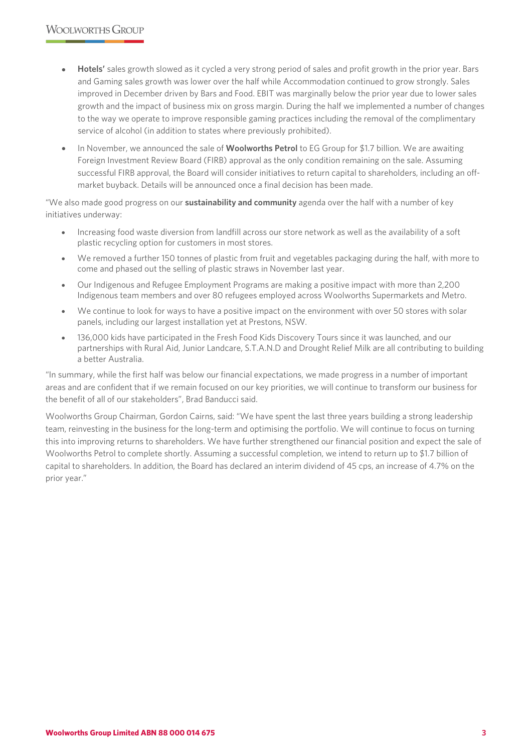- **Hotels'** sales growth slowed as it cycled a very strong period of sales and profit growth in the prior year. Bars and Gaming sales growth was lower over the half while Accommodation continued to grow strongly. Sales improved in December driven by Bars and Food. EBIT was marginally below the prior year due to lower sales growth and the impact of business mix on gross margin. During the half we implemented a number of changes to the way we operate to improve responsible gaming practices including the removal of the complimentary service of alcohol (in addition to states where previously prohibited).
- In November, we announced the sale of **Woolworths Petrol** to EG Group for \$1.7 billion. We are awaiting Foreign Investment Review Board (FIRB) approval as the only condition remaining on the sale. Assuming successful FIRB approval, the Board will consider initiatives to return capital to shareholders, including an offmarket buyback. Details will be announced once a final decision has been made.

"We also made good progress on our **sustainability and community** agenda over the half with a number of key initiatives underway:

- Increasing food waste diversion from landfill across our store network as well as the availability of a soft plastic recycling option for customers in most stores.
- We removed a further 150 tonnes of plastic from fruit and vegetables packaging during the half, with more to come and phased out the selling of plastic straws in November last year.
- Our Indigenous and Refugee Employment Programs are making a positive impact with more than 2,200 Indigenous team members and over 80 refugees employed across Woolworths Supermarkets and Metro.
- We continue to look for ways to have a positive impact on the environment with over 50 stores with solar panels, including our largest installation yet at Prestons, NSW.
- 136,000 kids have participated in the Fresh Food Kids Discovery Tours since it was launched, and our partnerships with Rural Aid, Junior Landcare, S.T.A.N.D and Drought Relief Milk are all contributing to building a better Australia.

"In summary, while the first half was below our financial expectations, we made progress in a number of important areas and are confident that if we remain focused on our key priorities, we will continue to transform our business for the benefit of all of our stakeholders", Brad Banducci said.

Woolworths Group Chairman, Gordon Cairns, said: "We have spent the last three years building a strong leadership team, reinvesting in the business for the long-term and optimising the portfolio. We will continue to focus on turning this into improving returns to shareholders. We have further strengthened our financial position and expect the sale of Woolworths Petrol to complete shortly. Assuming a successful completion, we intend to return up to \$1.7 billion of capital to shareholders. In addition, the Board has declared an interim dividend of 45 cps, an increase of 4.7% on the prior year."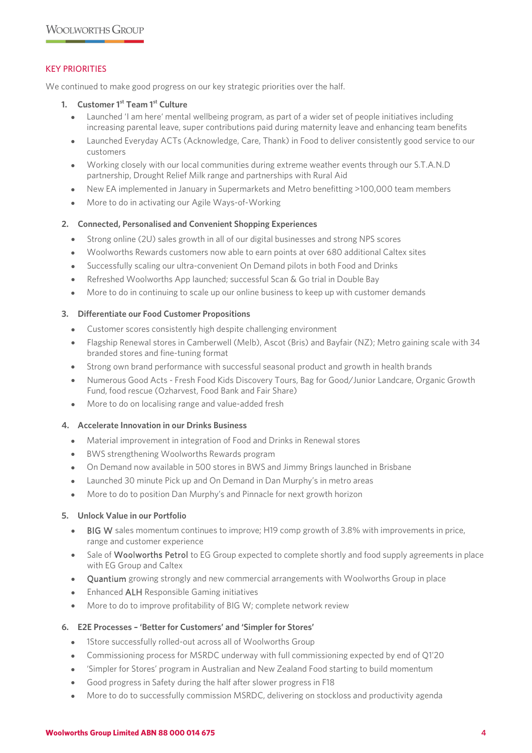### KEY PRIORITIES

We continued to make good progress on our key strategic priorities over the half.

#### **1. Customer 1st Team 1st Culture**

- Launched 'I am here' mental wellbeing program, as part of a wider set of people initiatives including increasing parental leave, super contributions paid during maternity leave and enhancing team benefits
- Launched Everyday ACTs (Acknowledge, Care, Thank) in Food to deliver consistently good service to our customers
- Working closely with our local communities during extreme weather events through our S.T.A.N.D partnership, Drought Relief Milk range and partnerships with Rural Aid
- New EA implemented in January in Supermarkets and Metro benefitting >100,000 team members
- More to do in activating our Agile Ways-of-Working

#### **2. Connected, Personalised and Convenient Shopping Experiences**

- Strong online (2U) sales growth in all of our digital businesses and strong NPS scores
- Woolworths Rewards customers now able to earn points at over 680 additional Caltex sites
- Successfully scaling our ultra-convenient On Demand pilots in both Food and Drinks
- Refreshed Woolworths App launched; successful Scan & Go trial in Double Bay
- More to do in continuing to scale up our online business to keep up with customer demands

#### **3. Differentiate our Food Customer Propositions**

- Customer scores consistently high despite challenging environment
- Flagship Renewal stores in Camberwell (Melb), Ascot (Bris) and Bayfair (NZ); Metro gaining scale with 34 branded stores and fine-tuning format
- Strong own brand performance with successful seasonal product and growth in health brands
- Numerous Good Acts Fresh Food Kids Discovery Tours, Bag for Good/Junior Landcare, Organic Growth Fund, food rescue (Ozharvest, Food Bank and Fair Share)
- More to do on localising range and value-added fresh

#### **4. Accelerate Innovation in our Drinks Business**

- Material improvement in integration of Food and Drinks in Renewal stores
- BWS strengthening Woolworths Rewards program
- On Demand now available in 500 stores in BWS and Jimmy Brings launched in Brisbane
- Launched 30 minute Pick up and On Demand in Dan Murphy's in metro areas
- More to do to position Dan Murphy's and Pinnacle for next growth horizon

#### **5. Unlock Value in our Portfolio**

- BIG W sales momentum continues to improve; H19 comp growth of 3.8% with improvements in price, range and customer experience
- Sale of Woolworths Petrol to EG Group expected to complete shortly and food supply agreements in place with EG Group and Caltex
- Quantium growing strongly and new commercial arrangements with Woolworths Group in place
- Enhanced ALH Responsible Gaming initiatives
- More to do to improve profitability of BIG W; complete network review

#### **6. E2E Processes – 'Better for Customers' and 'Simpler for Stores'**

- 1Store successfully rolled-out across all of Woolworths Group
- Commissioning process for MSRDC underway with full commissioning expected by end of O1'20
- 'Simpler for Stores' program in Australian and New Zealand Food starting to build momentum
- Good progress in Safety during the half after slower progress in F18
- More to do to successfully commission MSRDC, delivering on stockloss and productivity agenda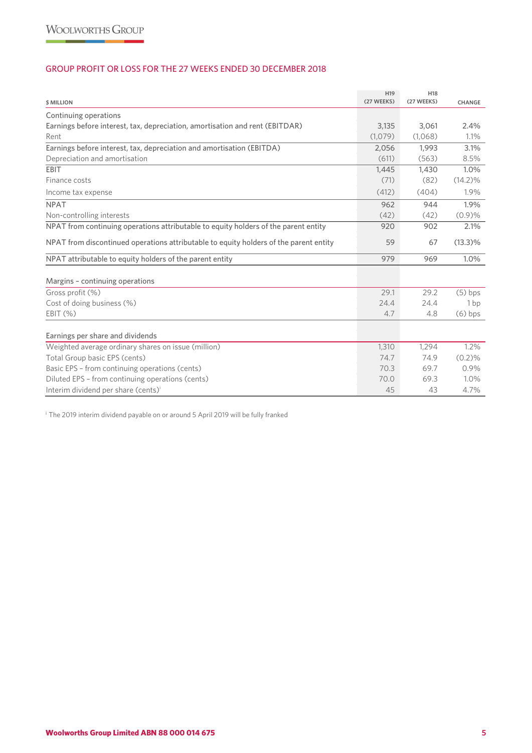# GROUP PROFIT OR LOSS FOR THE 27 WEEKS ENDED 30 DECEMBER 2018

| <b>\$ MILLION</b>                                                                     | H <sub>19</sub><br>(27 WEEKS) | H <sub>18</sub><br>(27 WEEKS) | CHANGE          |
|---------------------------------------------------------------------------------------|-------------------------------|-------------------------------|-----------------|
| Continuing operations                                                                 |                               |                               |                 |
| Earnings before interest, tax, depreciation, amortisation and rent (EBITDAR)          | 3,135                         | 3,061                         | 2.4%            |
| Rent                                                                                  | (1,079)                       | (1,068)                       | 1.1%            |
| Earnings before interest, tax, depreciation and amortisation (EBITDA)                 | 2,056                         | 1,993                         | 3.1%            |
| Depreciation and amortisation                                                         | (611)                         | (563)                         | 8.5%            |
| EBIT                                                                                  | 1,445                         | 1,430                         | 1.0%            |
| Finance costs                                                                         | (71)                          | (82)                          | $(14.2)\%$      |
| Income tax expense                                                                    | (412)                         | (404)                         | 1.9%            |
| <b>NPAT</b>                                                                           | 962                           | 944                           | 1.9%            |
| Non-controlling interests                                                             | (42)                          | (42)                          | (0.9)%          |
| NPAT from continuing operations attributable to equity holders of the parent entity   | 920                           | 902                           | 2.1%            |
| NPAT from discontinued operations attributable to equity holders of the parent entity | 59                            | 67                            | $(13.3)\%$      |
| NPAT attributable to equity holders of the parent entity                              | 979                           | 969                           | 1.0%            |
| Margins - continuing operations                                                       |                               |                               |                 |
| Gross profit (%)                                                                      | 29.1                          | 29.2                          | $(5)$ bps       |
| Cost of doing business (%)                                                            | 24.4                          | 24.4                          | 1 <sub>bp</sub> |
| EBIT (%)                                                                              | 4.7                           | 4.8                           | $(6)$ bps       |
| Earnings per share and dividends                                                      |                               |                               |                 |
| Weighted average ordinary shares on issue (million)                                   | 1,310                         | 1,294                         | 1.2%            |
| Total Group basic EPS (cents)                                                         | 74.7                          | 74.9                          | (0.2)%          |
| Basic EPS - from continuing operations (cents)                                        | 70.3                          | 69.7                          | 0.9%            |
| Diluted EPS - from continuing operations (cents)                                      | 70.0                          | 69.3                          | 1.0%            |
| Interim dividend per share (cents) <sup>i</sup>                                       | 45                            | 43                            | 4.7%            |

<sup>i</sup> The 2019 interim dividend payable on or around 5 April 2019 will be fully franked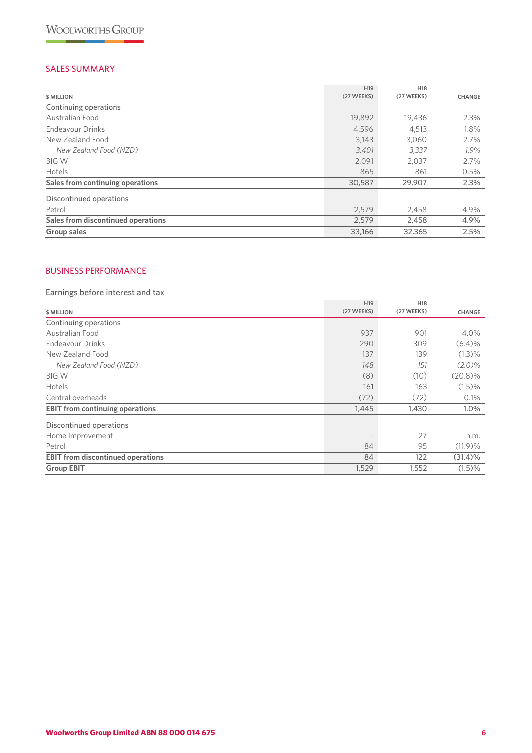# SALES SUMMARY

|                                    | H <sub>19</sub> | H <sub>18</sub> |               |
|------------------------------------|-----------------|-----------------|---------------|
| \$ MILLION                         | (27 WEEKS)      | (27 WEEKS)      | <b>CHANGE</b> |
| Continuing operations              |                 |                 |               |
| Australian Food                    | 19,892          | 19,436          | 2.3%          |
| Endeavour Drinks                   | 4,596           | 4,513           | 1.8%          |
| New Zealand Food                   | 3,143           | 3,060           | 2.7%          |
| New Zealand Food (NZD)             | 3,401           | 3.337           | 1.9%          |
| <b>BIG W</b>                       | 2,091           | 2,037           | 2.7%          |
| <b>Hotels</b>                      | 865             | 861             | 0.5%          |
| Sales from continuing operations   | 30,587          | 29,907          | 2.3%          |
| Discontinued operations            |                 |                 |               |
| Petrol                             | 2,579           | 2,458           | 4.9%          |
| Sales from discontinued operations | 2,579           | 2,458           | 4.9%          |
| Group sales                        | 33,166          | 32,365          | 2.5%          |

# BUSINESS PERFORMANCE

# Earnings before interest and tax

|                                          | H <sub>19</sub> | H <sub>18</sub> |               |
|------------------------------------------|-----------------|-----------------|---------------|
| <b>\$ MILLION</b>                        | (27 WEEKS)      | (27 WEEKS)      | <b>CHANGE</b> |
| Continuing operations                    |                 |                 |               |
| Australian Food                          | 937             | 901             | 4.0%          |
| Endeavour Drinks                         | 290             | 309             | (6.4)%        |
| New Zealand Food                         | 137             | 139             | (1.3)%        |
| New Zealand Food (NZD)                   | 148             | 151             | $(2.0)\%$     |
| <b>BIG W</b>                             | (8)             | (10)            | $(20.8)\%$    |
| Hotels                                   | 161             | 163             | (1.5)%        |
| Central overheads                        | (72)            | (72)            | 0.1%          |
| <b>EBIT from continuing operations</b>   | 1,445           | 1,430           | 1.0%          |
| Discontinued operations                  |                 |                 |               |
| Home Improvement                         |                 | 27              | n.m.          |
| Petrol                                   | 84              | 95              | (11.9)%       |
| <b>EBIT</b> from discontinued operations | 84              | 122             | (31.4)%       |
| <b>Group EBIT</b>                        | 1,529           | 1,552           | (1.5)%        |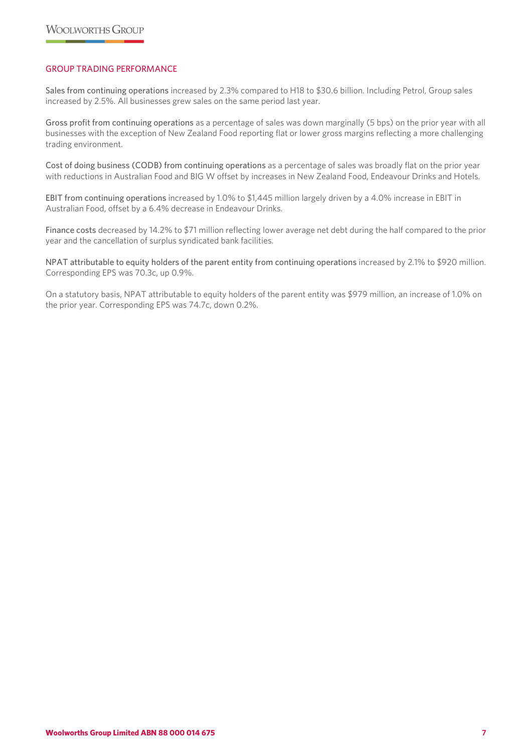# GROUP TRADING PERFORMANCE

Sales from continuing operations increased by 2.3% compared to H18 to \$30.6 billion. Including Petrol, Group sales increased by 2.5%. All businesses grew sales on the same period last year.

Gross profit from continuing operations as a percentage of sales was down marginally (5 bps) on the prior year with all businesses with the exception of New Zealand Food reporting flat or lower gross margins reflecting a more challenging trading environment.

Cost of doing business (CODB) from continuing operations as a percentage of sales was broadly flat on the prior year with reductions in Australian Food and BIG W offset by increases in New Zealand Food, Endeavour Drinks and Hotels.

EBIT from continuing operations increased by 1.0% to \$1,445 million largely driven by a 4.0% increase in EBIT in Australian Food, offset by a 6.4% decrease in Endeavour Drinks.

Finance costs decreased by 14.2% to \$71 million reflecting lower average net debt during the half compared to the prior year and the cancellation of surplus syndicated bank facilities.

NPAT attributable to equity holders of the parent entity from continuing operations increased by 2.1% to \$920 million. Corresponding EPS was 70.3c, up 0.9%.

On a statutory basis, NPAT attributable to equity holders of the parent entity was \$979 million, an increase of 1.0% on the prior year. Corresponding EPS was 74.7c, down 0.2%.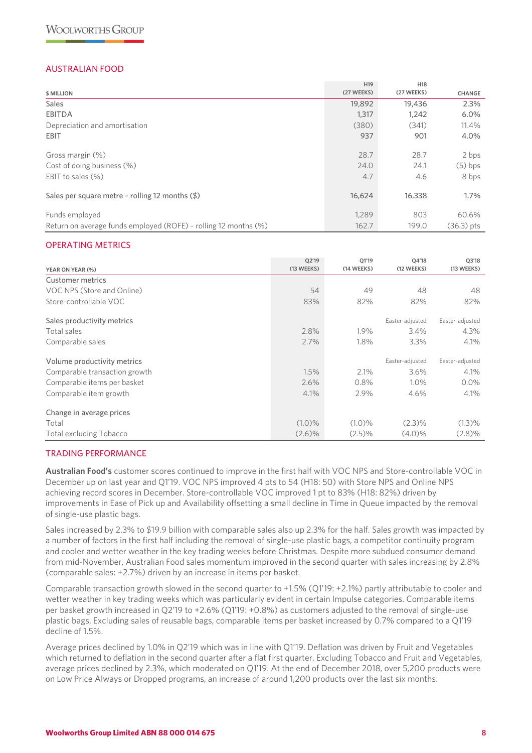# AUSTRALIAN FOOD

|                                                                 | H <sub>19</sub> | H <sub>18</sub> |               |
|-----------------------------------------------------------------|-----------------|-----------------|---------------|
| \$ MILLION                                                      | (27 WEEKS)      | (27 WEEKS)      | <b>CHANGE</b> |
| <b>Sales</b>                                                    | 19,892          | 19,436          | 2.3%          |
| <b>EBITDA</b>                                                   | 1,317           | 1,242           | 6.0%          |
| Depreciation and amortisation                                   | (380)           | (341)           | 11.4%         |
| <b>EBIT</b>                                                     | 937             | 901             | 4.0%          |
| Gross margin (%)                                                | 28.7            | 28.7            | 2 bps         |
| Cost of doing business (%)                                      | 24.0            | 24.1            | $(5)$ bps     |
| EBIT to sales $(\%)$                                            | 4.7             | 4.6             | 8 bps         |
| Sales per square metre - rolling 12 months $(\frac{1}{2})$      | 16,624          | 16,338          | $1.7\%$       |
| Funds employed                                                  | 1.289           | 803             | 60.6%         |
| Return on average funds employed (ROFE) - rolling 12 months (%) | 162.7           | 199.0           | $(36.3)$ pts  |

#### OPERATING METRICS

| YEAR ON YEAR (%)              | Q2'19<br>(13 WEEKS) | O1'19<br>(14 WEEKS) | Q4'18<br>(12 WEEKS) | Q3'18<br>(13 WEEKS) |
|-------------------------------|---------------------|---------------------|---------------------|---------------------|
| Customer metrics              |                     |                     |                     |                     |
| VOC NPS (Store and Online)    | 54                  | 49                  | 48                  | 48                  |
| Store-controllable VOC        | 83%                 | 82%                 | 82%                 | 82%                 |
| Sales productivity metrics    |                     |                     | Easter-adjusted     | Easter-adjusted     |
| Total sales                   | 2.8%                | 1.9%                | 3.4%                | 4.3%                |
| Comparable sales              | 2.7%                | 1.8%                | 3.3%                | 4.1%                |
| Volume productivity metrics   |                     |                     | Easter-adjusted     | Easter-adjusted     |
| Comparable transaction growth | 1.5%                | 2.1%                | $3.6\%$             | 4.1%                |
| Comparable items per basket   | 2.6%                | 0.8%                | $1.0\%$             | $0.0\%$             |
| Comparable item growth        | 4.1%                | 2.9%                | 4.6%                | 4.1%                |
| Change in average prices      |                     |                     |                     |                     |
| Total                         | $(1.0)\%$           | $(1.0)\%$           | $(2.3)\%$           | (1.3)%              |
| Total excluding Tobacco       | $(2.6)\%$           | $(2.5)\%$           | $(4.0)\%$           | $(2.8)\%$           |

# TRADING PERFORMANCE

**Australian Food's** customer scores continued to improve in the first half with VOC NPS and Store-controllable VOC in December up on last year and Q1'19. VOC NPS improved 4 pts to 54 (H18: 50) with Store NPS and Online NPS achieving record scores in December. Store-controllable VOC improved 1 pt to 83% (H18: 82%) driven by improvements in Ease of Pick up and Availability offsetting a small decline in Time in Queue impacted by the removal of single-use plastic bags.

Sales increased by 2.3% to \$19.9 billion with comparable sales also up 2.3% for the half. Sales growth was impacted by a number of factors in the first half including the removal of single-use plastic bags, a competitor continuity program and cooler and wetter weather in the key trading weeks before Christmas. Despite more subdued consumer demand from mid-November, Australian Food sales momentum improved in the second quarter with sales increasing by 2.8% (comparable sales: +2.7%) driven by an increase in items per basket.

Comparable transaction growth slowed in the second quarter to +1.5% (Q1'19: +2.1%) partly attributable to cooler and wetter weather in key trading weeks which was particularly evident in certain Impulse categories. Comparable items per basket growth increased in Q2'19 to +2.6% (Q1'19: +0.8%) as customers adjusted to the removal of single-use plastic bags. Excluding sales of reusable bags, comparable items per basket increased by 0.7% compared to a Q1'19 decline of 1.5%.

Average prices declined by 1.0% in Q2'19 which was in line with Q1'19. Deflation was driven by Fruit and Vegetables which returned to deflation in the second quarter after a flat first quarter. Excluding Tobacco and Fruit and Vegetables, average prices declined by 2.3%, which moderated on Q1'19. At the end of December 2018, over 5,200 products were on Low Price Always or Dropped programs, an increase of around 1,200 products over the last six months.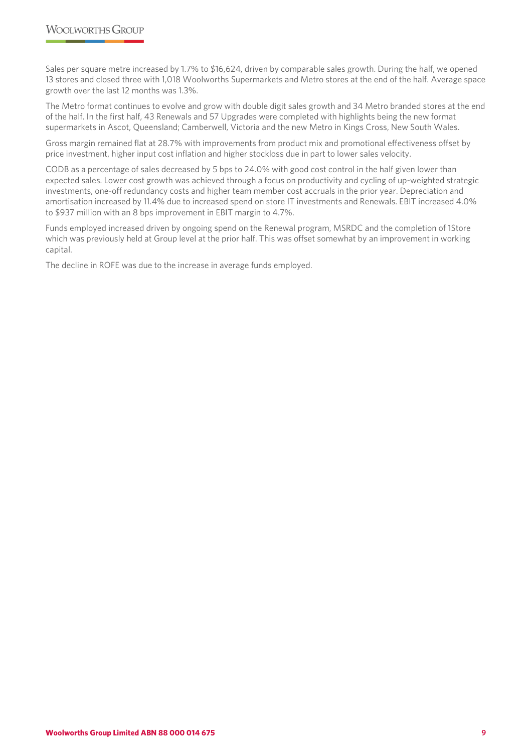Sales per square metre increased by 1.7% to \$16,624, driven by comparable sales growth. During the half, we opened 13 stores and closed three with 1,018 Woolworths Supermarkets and Metro stores at the end of the half. Average space growth over the last 12 months was 1.3%.

The Metro format continues to evolve and grow with double digit sales growth and 34 Metro branded stores at the end of the half. In the first half, 43 Renewals and 57 Upgrades were completed with highlights being the new format supermarkets in Ascot, Queensland; Camberwell, Victoria and the new Metro in Kings Cross, New South Wales.

Gross margin remained flat at 28.7% with improvements from product mix and promotional effectiveness offset by price investment, higher input cost inflation and higher stockloss due in part to lower sales velocity.

CODB as a percentage of sales decreased by 5 bps to 24.0% with good cost control in the half given lower than expected sales. Lower cost growth was achieved through a focus on productivity and cycling of up-weighted strategic investments, one-off redundancy costs and higher team member cost accruals in the prior year. Depreciation and amortisation increased by 11.4% due to increased spend on store IT investments and Renewals. EBIT increased 4.0% to \$937 million with an 8 bps improvement in EBIT margin to 4.7%.

Funds employed increased driven by ongoing spend on the Renewal program, MSRDC and the completion of 1Store which was previously held at Group level at the prior half. This was offset somewhat by an improvement in working capital.

The decline in ROFE was due to the increase in average funds employed.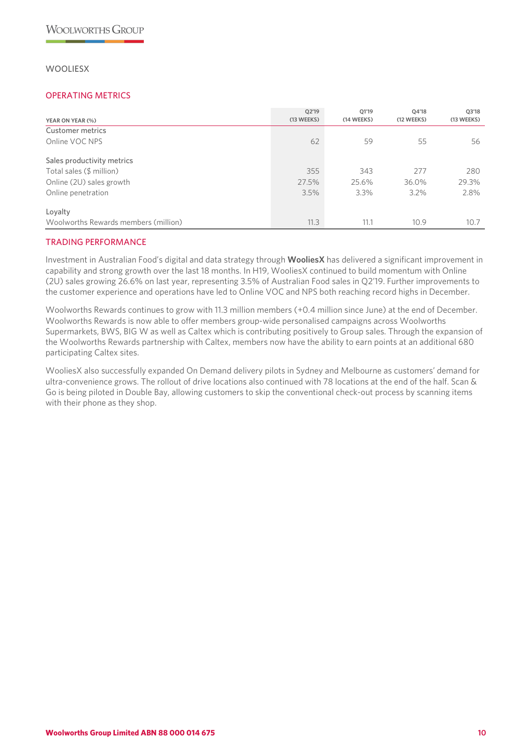# **WOOLIESX**

### OPERATING METRICS

| YEAR ON YEAR (%)                     | Q2'19<br>(13 WEEKS) | Q1'19<br>(14 WEEKS) | Q4'18<br>(12 WEEKS) | Q3'18<br>(13 WEEKS) |
|--------------------------------------|---------------------|---------------------|---------------------|---------------------|
| Customer metrics                     |                     |                     |                     |                     |
| Online VOC NPS                       | 62                  | 59                  | 55                  | 56                  |
| Sales productivity metrics           |                     |                     |                     |                     |
| Total sales (\$ million)             | 355                 | 343                 | 277                 | 280                 |
| Online (2U) sales growth             | 27.5%               | 25.6%               | 36.0%               | 29.3%               |
| Online penetration                   | 3.5%                | $3.3\%$             | $3.2\%$             | 2.8%                |
| Loyalty                              |                     |                     |                     |                     |
| Woolworths Rewards members (million) | 11.3                | 11.1                | 10.9                | 10.7                |

# TRADING PERFORMANCE

Investment in Australian Food's digital and data strategy through **WooliesX** has delivered a significant improvement in capability and strong growth over the last 18 months. In H19, WooliesX continued to build momentum with Online (2U) sales growing 26.6% on last year, representing 3.5% of Australian Food sales in Q2'19. Further improvements to the customer experience and operations have led to Online VOC and NPS both reaching record highs in December.

Woolworths Rewards continues to grow with 11.3 million members (+0.4 million since June) at the end of December. Woolworths Rewards is now able to offer members group-wide personalised campaigns across Woolworths Supermarkets, BWS, BIG W as well as Caltex which is contributing positively to Group sales. Through the expansion of the Woolworths Rewards partnership with Caltex, members now have the ability to earn points at an additional 680 participating Caltex sites.

WooliesX also successfully expanded On Demand delivery pilots in Sydney and Melbourne as customers' demand for ultra-convenience grows. The rollout of drive locations also continued with 78 locations at the end of the half. Scan & Go is being piloted in Double Bay, allowing customers to skip the conventional check-out process by scanning items with their phone as they shop.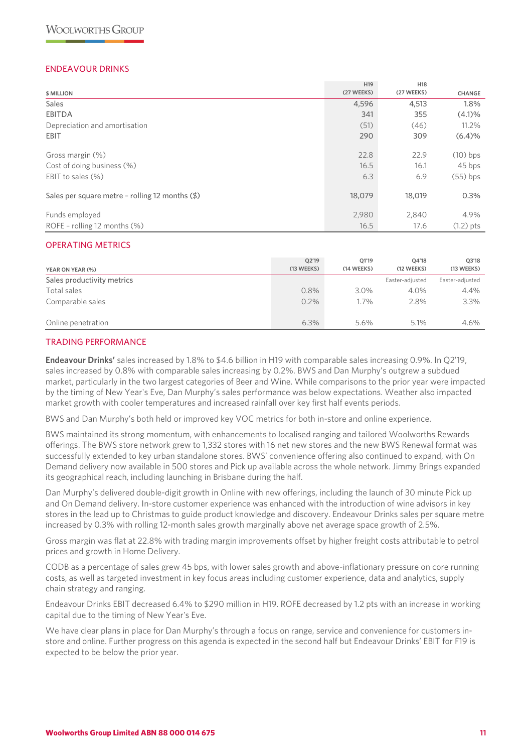# ENDEAVOUR DRINKS

|                                                            | H <sub>19</sub> | <b>H18</b> |               |
|------------------------------------------------------------|-----------------|------------|---------------|
| \$ MILLION                                                 | (27 WEEKS)      | (27 WEEKS) | <b>CHANGE</b> |
| <b>Sales</b>                                               | 4,596           | 4,513      | 1.8%          |
| <b>EBITDA</b>                                              | 341             | 355        | $(4.1)\%$     |
| Depreciation and amortisation                              | (51)            | (46)       | $11.2\%$      |
| <b>EBIT</b>                                                | 290             | 309        | (6.4)%        |
| Gross margin (%)                                           | 22.8            | 22.9       | $(10)$ bps    |
| Cost of doing business (%)                                 | 16.5            | 16.1       | 45 bps        |
| EBIT to sales $(\%)$                                       | 6.3             | 6.9        | $(55)$ bps    |
| Sales per square metre - rolling 12 months $(\frac{1}{2})$ | 18,079          | 18,019     | 0.3%          |
| Funds employed                                             | 2,980           | 2,840      | 4.9%          |
| ROFE - rolling 12 months $(\%)$                            | 16.5            | 17.6       | $(1.2)$ pts   |

#### OPERATING METRICS

| YEAR ON YEAR (%)           | O2'19<br>(13 WEEKS) | O1'19<br>(14 WEEKS) | 04'18<br>(12 WEEKS) | 03'18<br>(13 WEEKS) |
|----------------------------|---------------------|---------------------|---------------------|---------------------|
| Sales productivity metrics |                     |                     | Easter-adjusted     | Easter-adjusted     |
| Total sales                | 0.8%                | 3.0%                | $4.0\%$             | $4.4\%$             |
| Comparable sales           | $0.2\%$             | $1.7\%$             | 2.8%                | 3.3%                |
| Online penetration         | 6.3%                | 5.6%                | 5.1%                | 4.6%                |

#### TRADING PERFORMANCE

**Endeavour Drinks'** sales increased by 1.8% to \$4.6 billion in H19 with comparable sales increasing 0.9%. In Q2'19, sales increased by 0.8% with comparable sales increasing by 0.2%. BWS and Dan Murphy's outgrew a subdued market, particularly in the two largest categories of Beer and Wine. While comparisons to the prior year were impacted by the timing of New Year's Eve, Dan Murphy's sales performance was below expectations. Weather also impacted market growth with cooler temperatures and increased rainfall over key first half events periods.

BWS and Dan Murphy's both held or improved key VOC metrics for both in-store and online experience.

BWS maintained its strong momentum, with enhancements to localised ranging and tailored Woolworths Rewards offerings. The BWS store network grew to 1,332 stores with 16 net new stores and the new BWS Renewal format was successfully extended to key urban standalone stores. BWS' convenience offering also continued to expand, with On Demand delivery now available in 500 stores and Pick up available across the whole network. Jimmy Brings expanded its geographical reach, including launching in Brisbane during the half.

Dan Murphy's delivered double-digit growth in Online with new offerings, including the launch of 30 minute Pick up and On Demand delivery. In-store customer experience was enhanced with the introduction of wine advisors in key stores in the lead up to Christmas to guide product knowledge and discovery. Endeavour Drinks sales per square metre increased by 0.3% with rolling 12-month sales growth marginally above net average space growth of 2.5%.

Gross margin was flat at 22.8% with trading margin improvements offset by higher freight costs attributable to petrol prices and growth in Home Delivery.

CODB as a percentage of sales grew 45 bps, with lower sales growth and above-inflationary pressure on core running costs, as well as targeted investment in key focus areas including customer experience, data and analytics, supply chain strategy and ranging.

Endeavour Drinks EBIT decreased 6.4% to \$290 million in H19. ROFE decreased by 1.2 pts with an increase in working capital due to the timing of New Year's Eve.

We have clear plans in place for Dan Murphy's through a focus on range, service and convenience for customers instore and online. Further progress on this agenda is expected in the second half but Endeavour Drinks' EBIT for F19 is expected to be below the prior year.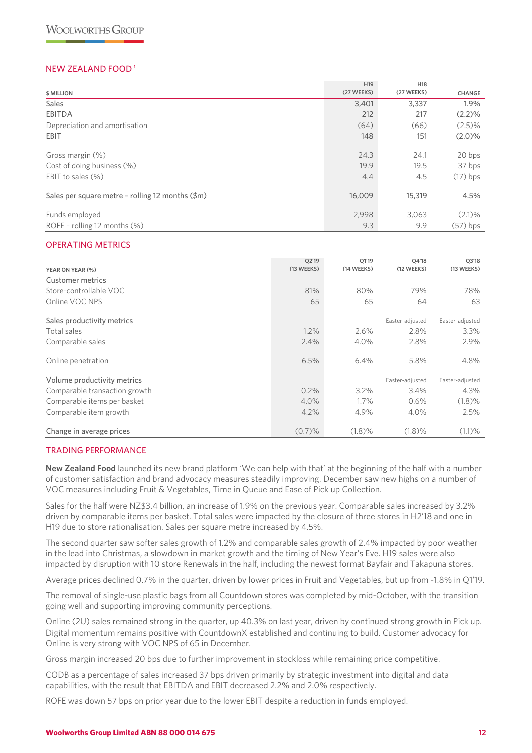# NEW ZEALAND FOOD 1

|                                                  | H <sub>19</sub> | H <sub>18</sub> |               |
|--------------------------------------------------|-----------------|-----------------|---------------|
| \$ MILLION                                       | (27 WEEKS)      | (27 WEEKS)      | <b>CHANGE</b> |
| <b>Sales</b>                                     | 3,401           | 3,337           | 1.9%          |
| <b>EBITDA</b>                                    | 212             | 217             | (2.2)%        |
| Depreciation and amortisation                    | (64)            | (66)            | $(2.5)\%$     |
| <b>EBIT</b>                                      | 148             | 151             | $(2.0)\%$     |
| Gross margin (%)                                 | 24.3            | 24.1            | 20 bps        |
| Cost of doing business (%)                       | 19.9            | 19.5            | 37 bps        |
| EBIT to sales $(\%)$                             | 4.4             | 4.5             | $(17)$ bps    |
| Sales per square metre - rolling 12 months (\$m) | 16,009          | 15,319          | 4.5%          |
| Funds employed                                   | 2,998           | 3.063           | $(2.1)\%$     |
| ROFE - rolling 12 months (%)                     | 9.3             | 9.9             | $(57)$ bps    |

#### OPERATING METRICS

| YEAR ON YEAR (%)              | 02'19<br>(13 WEEKS) | 01'19<br>(14 WEEKS) | 04'18<br>(12 WEEKS) | Q3'18<br>(13 WEEKS) |
|-------------------------------|---------------------|---------------------|---------------------|---------------------|
| Customer metrics              |                     |                     |                     |                     |
| Store-controllable VOC        | 81%                 | 80%                 | 79%                 | 78%                 |
| Online VOC NPS                | 65                  | 65                  | 64                  | 63                  |
| Sales productivity metrics    |                     |                     | Easter-adjusted     | Easter-adjusted     |
| Total sales                   | $1.2\%$             | 2.6%                | 2.8%                | $3.3\%$             |
| Comparable sales              | 2.4%                | 4.0%                | 2.8%                | 2.9%                |
| Online penetration            | 6.5%                | 6.4%                | 5.8%                | 4.8%                |
| Volume productivity metrics   |                     |                     | Easter-adjusted     | Easter-adjusted     |
| Comparable transaction growth | 0.2%                | $3.2\%$             | 3.4%                | 4.3%                |
| Comparable items per basket   | 4.0%                | $1.7\%$             | 0.6%                | (1.8)%              |
| Comparable item growth        | 4.2%                | 4.9%                | 4.0%                | 2.5%                |
| Change in average prices      | (0.7)%              | (1.8)%              | (1.8)%              | (1.1)%              |

#### TRADING PERFORMANCE

**New Zealand Food** launched its new brand platform 'We can help with that' at the beginning of the half with a number of customer satisfaction and brand advocacy measures steadily improving. December saw new highs on a number of VOC measures including Fruit & Vegetables, Time in Queue and Ease of Pick up Collection.

Sales for the half were NZ\$3.4 billion, an increase of 1.9% on the previous year. Comparable sales increased by 3.2% driven by comparable items per basket. Total sales were impacted by the closure of three stores in H2'18 and one in H19 due to store rationalisation. Sales per square metre increased by 4.5%.

The second quarter saw softer sales growth of 1.2% and comparable sales growth of 2.4% impacted by poor weather in the lead into Christmas, a slowdown in market growth and the timing of New Year's Eve. H19 sales were also impacted by disruption with 10 store Renewals in the half, including the newest format Bayfair and Takapuna stores.

Average prices declined 0.7% in the quarter, driven by lower prices in Fruit and Vegetables, but up from -1.8% in Q1'19.

The removal of single-use plastic bags from all Countdown stores was completed by mid-October, with the transition going well and supporting improving community perceptions.

Online (2U) sales remained strong in the quarter, up 40.3% on last year, driven by continued strong growth in Pick up. Digital momentum remains positive with CountdownX established and continuing to build. Customer advocacy for Online is very strong with VOC NPS of 65 in December.

Gross margin increased 20 bps due to further improvement in stockloss while remaining price competitive.

CODB as a percentage of sales increased 37 bps driven primarily by strategic investment into digital and data capabilities, with the result that EBITDA and EBIT decreased 2.2% and 2.0% respectively.

ROFE was down 57 bps on prior year due to the lower EBIT despite a reduction in funds employed.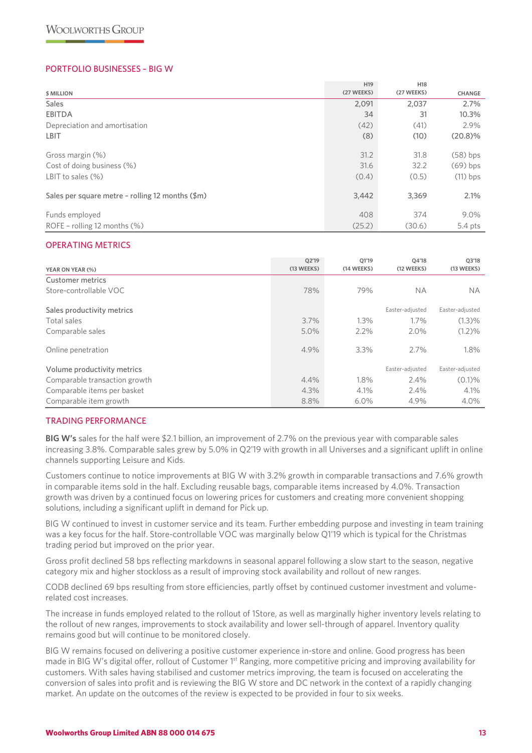### PORTFOLIO BUSINESSES – BIG W

|                                                          | H <sub>19</sub> | H18        |               |
|----------------------------------------------------------|-----------------|------------|---------------|
| \$ MILLION                                               | (27 WEEKS)      | (27 WEEKS) | <b>CHANGE</b> |
| <b>Sales</b>                                             | 2,091           | 2,037      | 2.7%          |
| <b>EBITDA</b>                                            | 34              | 31         | 10.3%         |
| Depreciation and amortisation                            | (42)            | (41)       | 2.9%          |
| LBIT                                                     | (8)             | (10)       | $(20.8)\%$    |
| Gross margin (%)                                         | 31.2            | 31.8       | $(58)$ bps    |
| Cost of doing business (%)                               | 31.6            | 32.2       | $(69)$ bps    |
| LBIT to sales $(\%)$                                     | (0.4)           | (0.5)      | $(11)$ bps    |
| Sales per square metre - rolling 12 months $(\text{Im})$ | 3,442           | 3,369      | 2.1%          |
| Funds employed                                           | 408             | 374        | 9.0%          |
| ROFE - rolling 12 months $(\%)$                          | (25.2)          | (30.6)     | $5.4$ pts     |

#### OPERATING METRICS

| YEAR ON YEAR (%)              | Q2'19<br>(13 WEEKS) | Q1'19<br>(14 WEEKS) | Q4'18<br>(12 WEEKS) | Q3'18<br>(13 WEEKS) |
|-------------------------------|---------------------|---------------------|---------------------|---------------------|
| Customer metrics              |                     |                     |                     |                     |
| Store-controllable VOC        | 78%                 | 79%                 | <b>NA</b>           | <b>NA</b>           |
| Sales productivity metrics    |                     |                     | Easter-adjusted     | Easter-adjusted     |
| Total sales                   | $3.7\%$             | 1.3%                | 1.7%                | $(1.3)\%$           |
| Comparable sales              | 5.0%                | $2.2\%$             | 2.0%                | $(1.2)\%$           |
| Online penetration            | 4.9%                | 3.3%                | 2.7%                | 1.8%                |
| Volume productivity metrics   |                     |                     | Easter-adjusted     | Easter-adjusted     |
| Comparable transaction growth | $4.4\%$             | 1.8%                | $2.4\%$             | $(0.1)\%$           |
| Comparable items per basket   | 4.3%                | 4.1%                | $2.4\%$             | $4.1\%$             |
| Comparable item growth        | 8.8%                | $6.0\%$             | 4.9%                | 4.0%                |

#### TRADING PERFORMANCE

**BIG W's** sales for the half were \$2.1 billion, an improvement of 2.7% on the previous year with comparable sales increasing 3.8%. Comparable sales grew by 5.0% in Q2'19 with growth in all Universes and a significant uplift in online channels supporting Leisure and Kids.

Customers continue to notice improvements at BIG W with 3.2% growth in comparable transactions and 7.6% growth in comparable items sold in the half. Excluding reusable bags, comparable items increased by 4.0%. Transaction growth was driven by a continued focus on lowering prices for customers and creating more convenient shopping solutions, including a significant uplift in demand for Pick up.

BIG W continued to invest in customer service and its team. Further embedding purpose and investing in team training was a key focus for the half. Store-controllable VOC was marginally below Q1'19 which is typical for the Christmas trading period but improved on the prior year.

Gross profit declined 58 bps reflecting markdowns in seasonal apparel following a slow start to the season, negative category mix and higher stockloss as a result of improving stock availability and rollout of new ranges.

CODB declined 69 bps resulting from store efficiencies, partly offset by continued customer investment and volumerelated cost increases.

The increase in funds employed related to the rollout of 1Store, as well as marginally higher inventory levels relating to the rollout of new ranges, improvements to stock availability and lower sell-through of apparel. Inventory quality remains good but will continue to be monitored closely.

BIG W remains focused on delivering a positive customer experience in-store and online. Good progress has been made in BIG W's digital offer, rollout of Customer 1<sup>st</sup> Ranging, more competitive pricing and improving availability for customers. With sales having stabilised and customer metrics improving, the team is focused on accelerating the conversion of sales into profit and is reviewing the BIG W store and DC network in the context of a rapidly changing market. An update on the outcomes of the review is expected to be provided in four to six weeks.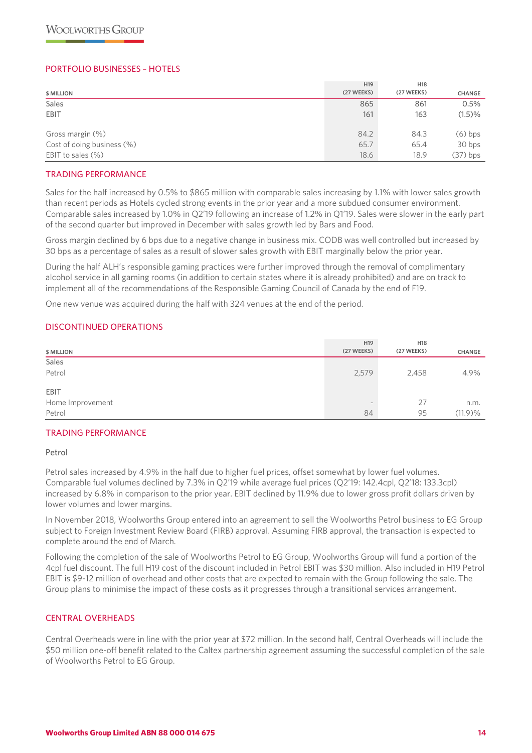### PORTFOLIO BUSINESSES – HOTELS

| \$ MILLION                 | H <sub>19</sub><br>(27 WEEKS) | H <sub>18</sub><br>(27 WEEKS) | <b>CHANGE</b> |
|----------------------------|-------------------------------|-------------------------------|---------------|
| <b>Sales</b>               | 865                           | 861                           | 0.5%          |
| <b>EBIT</b>                | 161                           | 163                           | (1.5)%        |
|                            |                               |                               |               |
| Gross margin (%)           | 84.2                          | 84.3                          | (6) bps       |
| Cost of doing business (%) | 65.7                          | 65.4                          | 30 bps        |
| EBIT to sales $(\%)$       | 18.6                          | 18.9                          | $(37)$ bps    |

#### TRADING PERFORMANCE

Sales for the half increased by 0.5% to \$865 million with comparable sales increasing by 1.1% with lower sales growth than recent periods as Hotels cycled strong events in the prior year and a more subdued consumer environment. Comparable sales increased by 1.0% in Q2'19 following an increase of 1.2% in Q1'19. Sales were slower in the early part of the second quarter but improved in December with sales growth led by Bars and Food.

Gross margin declined by 6 bps due to a negative change in business mix. CODB was well controlled but increased by 30 bps as a percentage of sales as a result of slower sales growth with EBIT marginally below the prior year.

During the half ALH's responsible gaming practices were further improved through the removal of complimentary alcohol service in all gaming rooms (in addition to certain states where it is already prohibited) and are on track to implement all of the recommendations of the Responsible Gaming Council of Canada by the end of F19.

One new venue was acquired during the half with 324 venues at the end of the period.

#### DISCONTINUED OPERATIONS

| \$ MILLION       | H <sub>19</sub><br>(27 WEEKS) | H <sub>18</sub><br>(27 WEEKS) | CHANGE  |
|------------------|-------------------------------|-------------------------------|---------|
| Sales            |                               |                               |         |
| Petrol           | 2,579                         | 2,458                         | 4.9%    |
| <b>EBIT</b>      |                               |                               |         |
| Home Improvement | $\sim$                        | 27                            | n.m.    |
| Petrol           | 84                            | 95                            | (11.9)% |

#### TRADING PERFORMANCE

#### Petrol

Petrol sales increased by 4.9% in the half due to higher fuel prices, offset somewhat by lower fuel volumes. Comparable fuel volumes declined by 7.3% in Q2'19 while average fuel prices (Q2'19: 142.4cpl, Q2'18: 133.3cpl) increased by 6.8% in comparison to the prior year. EBIT declined by 11.9% due to lower gross profit dollars driven by lower volumes and lower margins.

In November 2018, Woolworths Group entered into an agreement to sell the Woolworths Petrol business to EG Group subject to Foreign Investment Review Board (FIRB) approval. Assuming FIRB approval, the transaction is expected to complete around the end of March.

Following the completion of the sale of Woolworths Petrol to EG Group, Woolworths Group will fund a portion of the 4cpl fuel discount. The full H19 cost of the discount included in Petrol EBIT was \$30 million. Also included in H19 Petrol EBIT is \$9-12 million of overhead and other costs that are expected to remain with the Group following the sale. The Group plans to minimise the impact of these costs as it progresses through a transitional services arrangement.

# CENTRAL OVERHEADS

Central Overheads were in line with the prior year at \$72 million. In the second half, Central Overheads will include the \$50 million one-off benefit related to the Caltex partnership agreement assuming the successful completion of the sale of Woolworths Petrol to EG Group.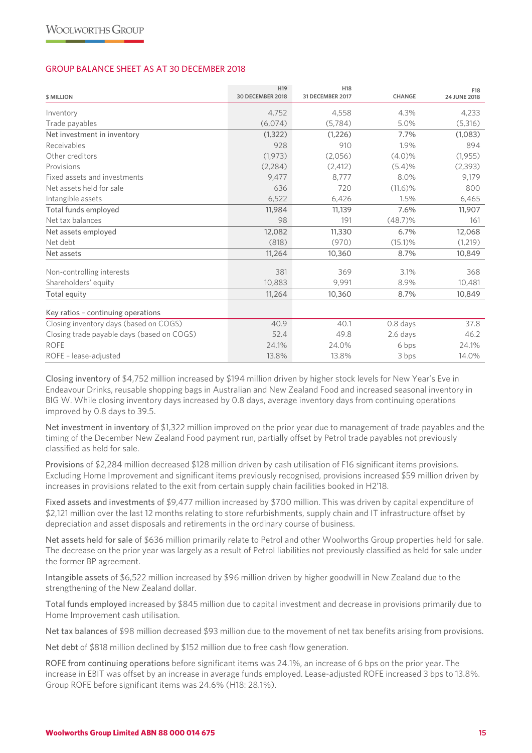#### GROUP BALANCE SHEET AS AT 30 DECEMBER 2018

| <b>\$ MILLION</b>                          | H <sub>19</sub><br><b>30 DECEMBER 2018</b> | H <sub>18</sub><br>31 DECEMBER 2017 | <b>CHANGE</b> | F18<br>24 JUNE 2018 |
|--------------------------------------------|--------------------------------------------|-------------------------------------|---------------|---------------------|
| Inventory                                  | 4.752                                      | 4,558                               | 4.3%          | 4,233               |
| Trade payables                             | (6,074)                                    | (5,784)                             | 5.0%          | (5,316)             |
| Net investment in inventory                | (1, 322)                                   | (1,226)                             | 7.7%          | (1,083)             |
| Receivables                                | 928                                        | 910                                 | 1.9%          | 894                 |
| Other creditors                            | (1, 973)                                   | (2,056)                             | $(4.0)\%$     | (1,955)             |
| Provisions                                 | (2,284)                                    | (2, 412)                            | (5.4)%        | (2,393)             |
| Fixed assets and investments               | 9.477                                      | 8.777                               | 8.0%          | 9.179               |
| Net assets held for sale                   | 636                                        | 720                                 | $(11.6)\%$    | 800                 |
| Intangible assets                          | 6,522                                      | 6,426                               | 1.5%          | 6,465               |
| Total funds employed                       | 11,984                                     | 11,139                              | 7.6%          | 11,907              |
| Net tax balances                           | 98                                         | 191                                 | $(48.7)\%$    | 161                 |
| Net assets employed                        | 12,082                                     | 11,330                              | 6.7%          | 12,068              |
| Net debt                                   | (818)                                      | (970)                               | $(15.1)\%$    | (1,219)             |
| Net assets                                 | 11,264                                     | 10,360                              | 8.7%          | 10,849              |
| Non-controlling interests                  | 381                                        | 369                                 | 3.1%          | 368                 |
| Shareholders' equity                       | 10,883                                     | 9,991                               | 8.9%          | 10,481              |
| Total equity                               | 11,264                                     | 10,360                              | 8.7%          | 10,849              |
| Key ratios - continuing operations         |                                            |                                     |               |                     |
| Closing inventory days (based on COGS)     | 40.9                                       | 40.1                                | 0.8 days      | 37.8                |
| Closing trade payable days (based on COGS) | 52.4                                       | 49.8                                | 2.6 days      | 46.2                |
| <b>ROFE</b>                                | 24.1%                                      | 24.0%                               | 6 bps         | 24.1%               |
| ROFE - lease-adjusted                      | 13.8%                                      | 13.8%                               | 3 bps         | 14.0%               |

Closing inventory of \$4,752 million increased by \$194 million driven by higher stock levels for New Year's Eve in Endeavour Drinks, reusable shopping bags in Australian and New Zealand Food and increased seasonal inventory in BIG W. While closing inventory days increased by 0.8 days, average inventory days from continuing operations improved by 0.8 days to 39.5.

Net investment in inventory of \$1,322 million improved on the prior year due to management of trade payables and the timing of the December New Zealand Food payment run, partially offset by Petrol trade payables not previously classified as held for sale.

Provisions of \$2,284 million decreased \$128 million driven by cash utilisation of F16 significant items provisions. Excluding Home Improvement and significant items previously recognised, provisions increased \$59 million driven by increases in provisions related to the exit from certain supply chain facilities booked in H2'18.

Fixed assets and investments of \$9,477 million increased by \$700 million. This was driven by capital expenditure of \$2,121 million over the last 12 months relating to store refurbishments, supply chain and IT infrastructure offset by depreciation and asset disposals and retirements in the ordinary course of business.

Net assets held for sale of \$636 million primarily relate to Petrol and other Woolworths Group properties held for sale. The decrease on the prior year was largely as a result of Petrol liabilities not previously classified as held for sale under the former BP agreement.

Intangible assets of \$6,522 million increased by \$96 million driven by higher goodwill in New Zealand due to the strengthening of the New Zealand dollar.

Total funds employed increased by \$845 million due to capital investment and decrease in provisions primarily due to Home Improvement cash utilisation.

Net tax balances of \$98 million decreased \$93 million due to the movement of net tax benefits arising from provisions.

Net debt of \$818 million declined by \$152 million due to free cash flow generation.

ROFE from continuing operations before significant items was 24.1%, an increase of 6 bps on the prior year. The increase in EBIT was offset by an increase in average funds employed. Lease-adjusted ROFE increased 3 bps to 13.8%. Group ROFE before significant items was 24.6% (H18: 28.1%).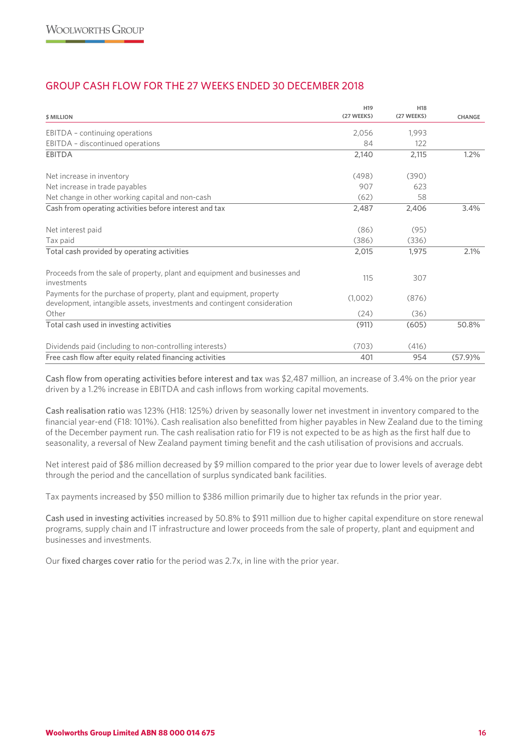# GROUP CASH FLOW FOR THE 27 WEEKS ENDED 30 DECEMBER 2018

|                                                                                                                                                  | H <sub>19</sub> | H <sub>18</sub> |               |
|--------------------------------------------------------------------------------------------------------------------------------------------------|-----------------|-----------------|---------------|
| <b>\$ MILLION</b>                                                                                                                                | (27 WEEKS)      | (27 WEEKS)      | <b>CHANGE</b> |
| EBITDA - continuing operations                                                                                                                   | 2,056           | 1.993           |               |
| EBITDA - discontinued operations                                                                                                                 | 84              | 122             |               |
| <b>EBITDA</b>                                                                                                                                    | 2,140           | 2,115           | 1.2%          |
| Net increase in inventory                                                                                                                        | (498)           | (390)           |               |
| Net increase in trade payables                                                                                                                   | 907             | 623             |               |
| Net change in other working capital and non-cash                                                                                                 | (62)            | 58              |               |
| Cash from operating activities before interest and tax                                                                                           | 2,487           | 2,406           | 3.4%          |
| Net interest paid                                                                                                                                | (86)            | (95)            |               |
| Tax paid                                                                                                                                         | (386)           | (336)           |               |
| Total cash provided by operating activities                                                                                                      | 2,015           | 1.975           | 2.1%          |
| Proceeds from the sale of property, plant and equipment and businesses and<br>investments                                                        | 115             | 307             |               |
| Payments for the purchase of property, plant and equipment, property<br>development, intangible assets, investments and contingent consideration | (1,002)         | (876)           |               |
| Other                                                                                                                                            | (24)            | (36)            |               |
| Total cash used in investing activities                                                                                                          | (911)           | (605)           | 50.8%         |
| Dividends paid (including to non-controlling interests)                                                                                          | (703)           | (416)           |               |
| Free cash flow after equity related financing activities                                                                                         | 401             | 954             | (57.9)%       |

Cash flow from operating activities before interest and tax was \$2,487 million, an increase of 3.4% on the prior year driven by a 1.2% increase in EBITDA and cash inflows from working capital movements.

Cash realisation ratio was 123% (H18: 125%) driven by seasonally lower net investment in inventory compared to the financial year-end (F18: 101%). Cash realisation also benefitted from higher payables in New Zealand due to the timing of the December payment run. The cash realisation ratio for F19 is not expected to be as high as the first half due to seasonality, a reversal of New Zealand payment timing benefit and the cash utilisation of provisions and accruals.

Net interest paid of \$86 million decreased by \$9 million compared to the prior year due to lower levels of average debt through the period and the cancellation of surplus syndicated bank facilities.

Tax payments increased by \$50 million to \$386 million primarily due to higher tax refunds in the prior year.

Cash used in investing activities increased by 50.8% to \$911 million due to higher capital expenditure on store renewal programs, supply chain and IT infrastructure and lower proceeds from the sale of property, plant and equipment and businesses and investments.

Our fixed charges cover ratio for the period was 2.7x, in line with the prior year.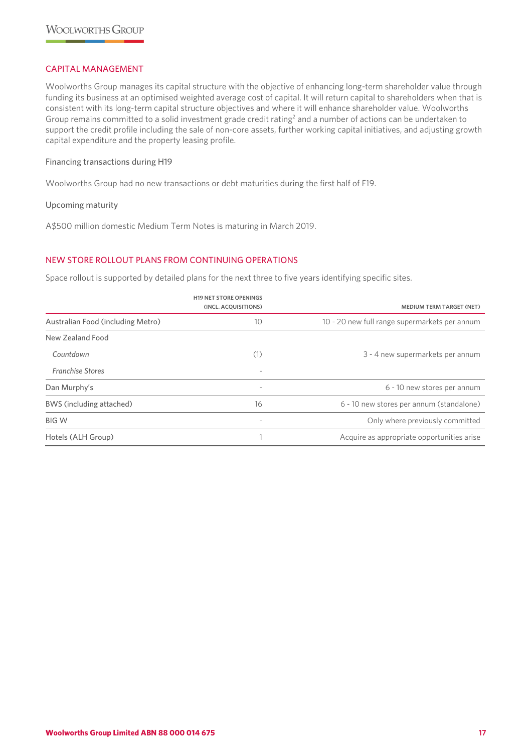### CAPITAL MANAGEMENT

Woolworths Group manages its capital structure with the objective of enhancing long-term shareholder value through funding its business at an optimised weighted average cost of capital. It will return capital to shareholders when that is consistent with its long-term capital structure objectives and where it will enhance shareholder value. Woolworths Group remains committed to a solid investment grade credit rating<sup>2</sup> and a number of actions can be undertaken to support the credit profile including the sale of non-core assets, further working capital initiatives, and adjusting growth capital expenditure and the property leasing profile.

#### Financing transactions during H19

Woolworths Group had no new transactions or debt maturities during the first half of F19.

#### Upcoming maturity

A\$500 million domestic Medium Term Notes is maturing in March 2019.

# NEW STORE ROLLOUT PLANS FROM CONTINUING OPERATIONS

Space rollout is supported by detailed plans for the next three to five years identifying specific sites.

|                                   | <b>H19 NET STORE OPENINGS</b><br>(INCL. ACQUISITIONS) | <b>MEDIUM TERM TARGET (NET)</b>               |
|-----------------------------------|-------------------------------------------------------|-----------------------------------------------|
| Australian Food (including Metro) | 10                                                    | 10 - 20 new full range supermarkets per annum |
| New Zealand Food                  |                                                       |                                               |
| Countdown                         | (1)                                                   | 3 - 4 new supermarkets per annum              |
| <b>Franchise Stores</b>           | $\overline{\phantom{a}}$                              |                                               |
| Dan Murphy's                      | $\overline{\phantom{a}}$                              | 6 - 10 new stores per annum                   |
| BWS (including attached)          | 16                                                    | 6 - 10 new stores per annum (standalone)      |
| <b>BIG W</b>                      | $\overline{\phantom{a}}$                              | Only where previously committed               |
| Hotels (ALH Group)                |                                                       | Acquire as appropriate opportunities arise    |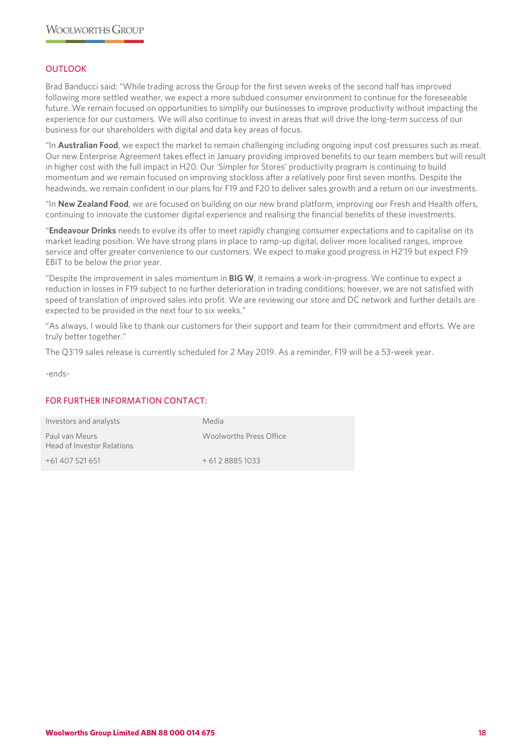# OUTLOOK

Brad Banducci said: "While trading across the Group for the first seven weeks of the second half has improved following more settled weather, we expect a more subdued consumer environment to continue for the foreseeable future. We remain focused on opportunities to simplify our businesses to improve productivity without impacting the experience for our customers. We will also continue to invest in areas that will drive the long-term success of our business for our shareholders with digital and data key areas of focus.

"In **Australian Food**, we expect the market to remain challenging including ongoing input cost pressures such as meat. Our new Enterprise Agreement takes effect in January providing improved benefits to our team members but will result in higher cost with the full impact in H20. Our 'Simpler for Stores' productivity program is continuing to build momentum and we remain focused on improving stockloss after a relatively poor first seven months. Despite the headwinds, we remain confident in our plans for F19 and F20 to deliver sales growth and a return on our investments.

"In **New Zealand Food**, we are focused on building on our new brand platform, improving our Fresh and Health offers, continuing to innovate the customer digital experience and realising the financial benefits of these investments.

"**Endeavour Drinks** needs to evolve its offer to meet rapidly changing consumer expectations and to capitalise on its market leading position. We have strong plans in place to ramp-up digital, deliver more localised ranges, improve service and offer greater convenience to our customers. We expect to make good progress in H2'19 but expect F19 EBIT to be below the prior year.

"Despite the improvement in sales momentum in **BIG W**, it remains a work-in-progress. We continue to expect a reduction in losses in F19 subject to no further deterioration in trading conditions; however, we are not satisfied with speed of translation of improved sales into profit. We are reviewing our store and DC network and further details are expected to be provided in the next four to six weeks."

"As always, I would like to thank our customers for their support and team for their commitment and efforts. We are truly better together."

The Q3'19 sales release is currently scheduled for 2 May 2019. As a reminder, F19 will be a 53-week year.

-ends-

# FOR FURTHER INFORMATION CONTACT:

| Investors and analysts                       | Media                   |
|----------------------------------------------|-------------------------|
| Paul van Meurs<br>Head of Investor Relations | Woolworths Press Office |
| +61 407 521 651                              | $+61288851033$          |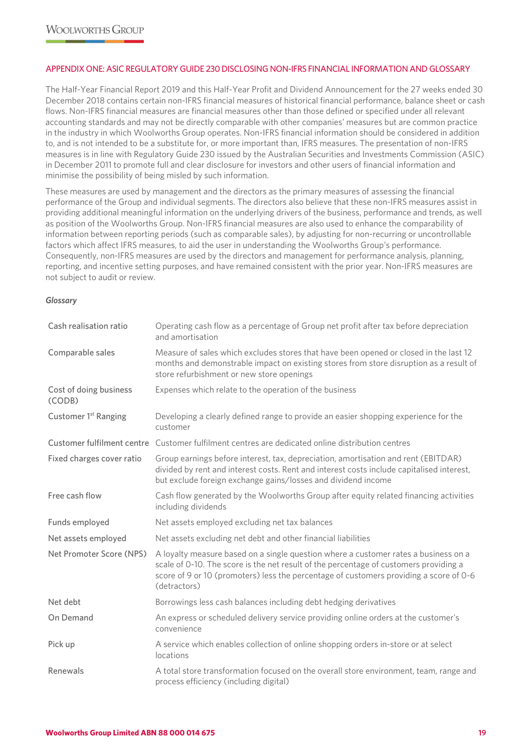#### APPENDIX ONE: ASIC REGULATORY GUIDE 230 DISCLOSING NON-IFRS FINANCIAL INFORMATION AND GLOSSARY

The Half-Year Financial Report 2019 and this Half-Year Profit and Dividend Announcement for the 27 weeks ended 30 December 2018 contains certain non-IFRS financial measures of historical financial performance, balance sheet or cash flows. Non-IFRS financial measures are financial measures other than those defined or specified under all relevant accounting standards and may not be directly comparable with other companies' measures but are common practice in the industry in which Woolworths Group operates. Non-IFRS financial information should be considered in addition to, and is not intended to be a substitute for, or more important than, IFRS measures. The presentation of non-IFRS measures is in line with Regulatory Guide 230 issued by the Australian Securities and Investments Commission (ASIC) in December 2011 to promote full and clear disclosure for investors and other users of financial information and minimise the possibility of being misled by such information.

These measures are used by management and the directors as the primary measures of assessing the financial performance of the Group and individual segments. The directors also believe that these non-IFRS measures assist in providing additional meaningful information on the underlying drivers of the business, performance and trends, as well as position of the Woolworths Group. Non-IFRS financial measures are also used to enhance the comparability of information between reporting periods (such as comparable sales), by adjusting for non-recurring or uncontrollable factors which affect IFRS measures, to aid the user in understanding the Woolworths Group's performance. Consequently, non-IFRS measures are used by the directors and management for performance analysis, planning, reporting, and incentive setting purposes, and have remained consistent with the prior year. Non-IFRS measures are not subject to audit or review.

#### *Glossary*

| Cash realisation ratio           | Operating cash flow as a percentage of Group net profit after tax before depreciation<br>and amortisation                                                                                                                                                                              |
|----------------------------------|----------------------------------------------------------------------------------------------------------------------------------------------------------------------------------------------------------------------------------------------------------------------------------------|
| Comparable sales                 | Measure of sales which excludes stores that have been opened or closed in the last 12<br>months and demonstrable impact on existing stores from store disruption as a result of<br>store refurbishment or new store openings                                                           |
| Cost of doing business<br>(CODB) | Expenses which relate to the operation of the business                                                                                                                                                                                                                                 |
| Customer 1 <sup>st</sup> Ranging | Developing a clearly defined range to provide an easier shopping experience for the<br>customer                                                                                                                                                                                        |
| Customer fulfilment centre       | Customer fulfilment centres are dedicated online distribution centres                                                                                                                                                                                                                  |
| Fixed charges cover ratio        | Group earnings before interest, tax, depreciation, amortisation and rent (EBITDAR)<br>divided by rent and interest costs. Rent and interest costs include capitalised interest,<br>but exclude foreign exchange gains/losses and dividend income                                       |
| Free cash flow                   | Cash flow generated by the Woolworths Group after equity related financing activities<br>including dividends                                                                                                                                                                           |
| Funds employed                   | Net assets employed excluding net tax balances                                                                                                                                                                                                                                         |
| Net assets employed              | Net assets excluding net debt and other financial liabilities                                                                                                                                                                                                                          |
| Net Promoter Score (NPS)         | A loyalty measure based on a single question where a customer rates a business on a<br>scale of 0-10. The score is the net result of the percentage of customers providing a<br>score of 9 or 10 (promoters) less the percentage of customers providing a score of 0-6<br>(detractors) |
| Net debt                         | Borrowings less cash balances including debt hedging derivatives                                                                                                                                                                                                                       |
| On Demand                        | An express or scheduled delivery service providing online orders at the customer's<br>convenience                                                                                                                                                                                      |
| Pick up                          | A service which enables collection of online shopping orders in-store or at select<br>locations                                                                                                                                                                                        |
| Renewals                         | A total store transformation focused on the overall store environment, team, range and<br>process efficiency (including digital)                                                                                                                                                       |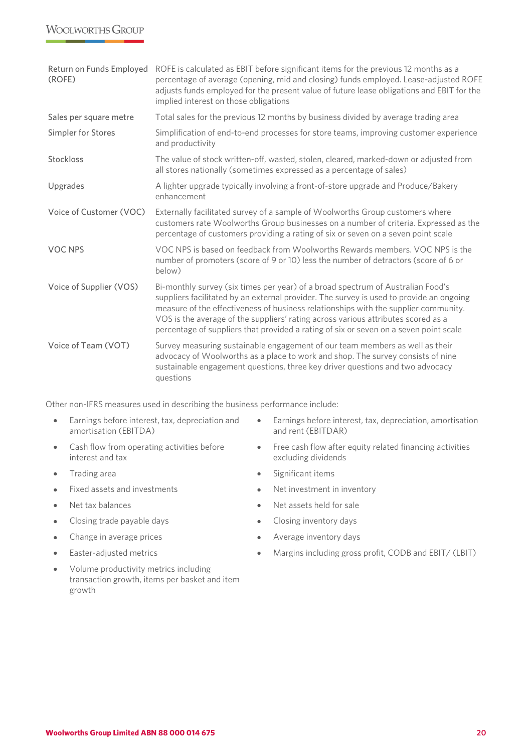# **WOOLWORTHS GROUP**

| Return on Funds Employed<br>(ROFE) | ROFE is calculated as EBIT before significant items for the previous 12 months as a<br>percentage of average (opening, mid and closing) funds employed. Lease-adjusted ROFE<br>adjusts funds employed for the present value of future lease obligations and EBIT for the<br>implied interest on those obligations                                                                                                                               |
|------------------------------------|-------------------------------------------------------------------------------------------------------------------------------------------------------------------------------------------------------------------------------------------------------------------------------------------------------------------------------------------------------------------------------------------------------------------------------------------------|
| Sales per square metre             | Total sales for the previous 12 months by business divided by average trading area                                                                                                                                                                                                                                                                                                                                                              |
| Simpler for Stores                 | Simplification of end-to-end processes for store teams, improving customer experience<br>and productivity                                                                                                                                                                                                                                                                                                                                       |
| Stockloss                          | The value of stock written-off, wasted, stolen, cleared, marked-down or adjusted from<br>all stores nationally (sometimes expressed as a percentage of sales)                                                                                                                                                                                                                                                                                   |
| Upgrades                           | A lighter upgrade typically involving a front-of-store upgrade and Produce/Bakery<br>enhancement                                                                                                                                                                                                                                                                                                                                                |
| Voice of Customer (VOC)            | Externally facilitated survey of a sample of Woolworths Group customers where<br>customers rate Woolworths Group businesses on a number of criteria. Expressed as the<br>percentage of customers providing a rating of six or seven on a seven point scale                                                                                                                                                                                      |
| <b>VOC NPS</b>                     | VOC NPS is based on feedback from Woolworths Rewards members. VOC NPS is the<br>number of promoters (score of 9 or 10) less the number of detractors (score of 6 or<br>below)                                                                                                                                                                                                                                                                   |
| Voice of Supplier (VOS)            | Bi-monthly survey (six times per year) of a broad spectrum of Australian Food's<br>suppliers facilitated by an external provider. The survey is used to provide an ongoing<br>measure of the effectiveness of business relationships with the supplier community.<br>VOS is the average of the suppliers' rating across various attributes scored as a<br>percentage of suppliers that provided a rating of six or seven on a seven point scale |
| Voice of Team (VOT)                | Survey measuring sustainable engagement of our team members as well as their<br>advocacy of Woolworths as a place to work and shop. The survey consists of nine<br>sustainable engagement questions, three key driver questions and two advocacy<br>questions                                                                                                                                                                                   |

Other non-IFRS measures used in describing the business performance include:

- Earnings before interest, tax, depreciation and amortisation (EBITDA)
- Cash flow from operating activities before interest and tax
- 
- Fixed assets and investments Net investment in inventory
- 
- Closing trade payable days **•** Closing inventory days
- Change in average prices Change inventory days
- 
- Volume productivity metrics including transaction growth, items per basket and item growth
- Earnings before interest, tax, depreciation, amortisation and rent (EBITDAR)
- Free cash flow after equity related financing activities excluding dividends
- Trading area **•** Significant items
	-
- Net tax balances Net assets held for sale
	-
	-
- Easter-adjusted metrics Margins including gross profit, CODB and EBIT/ (LBIT)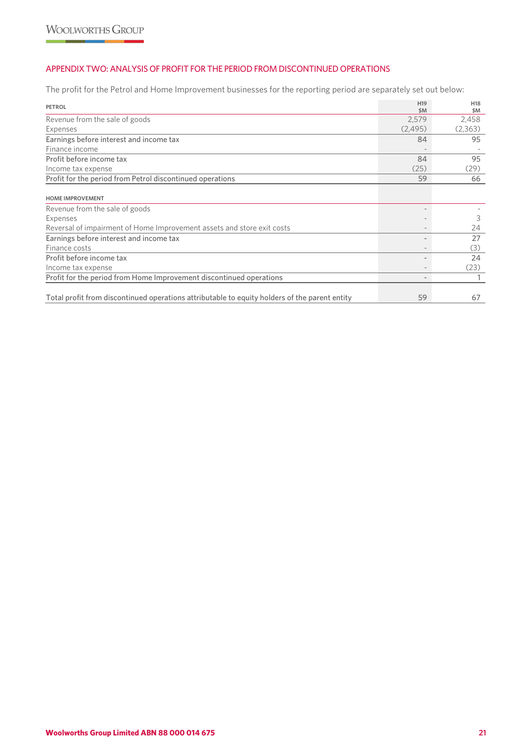# APPENDIX TWO: ANALYSIS OF PROFIT FOR THE PERIOD FROM DISCONTINUED OPERATIONS

The profit for the Petrol and Home Improvement businesses for the reporting period are separately set out below:

| <b>PETROL</b>                                                                                 | H <sub>19</sub><br>\$M | H <sub>18</sub><br>\$M |
|-----------------------------------------------------------------------------------------------|------------------------|------------------------|
| Revenue from the sale of goods                                                                | 2,579                  | 2,458                  |
| Expenses                                                                                      | (2, 495)               | (2,363)                |
| Earnings before interest and income tax                                                       | 84                     | 95                     |
| Finance income                                                                                |                        |                        |
| Profit before income tax                                                                      | 84                     | 95                     |
| Income tax expense                                                                            | (25)                   | (29)                   |
| Profit for the period from Petrol discontinued operations                                     | 59                     | 66                     |
| <b>HOME IMPROVEMENT</b>                                                                       |                        |                        |
| Revenue from the sale of goods                                                                |                        |                        |
| Expenses                                                                                      |                        | 3                      |
| Reversal of impairment of Home Improvement assets and store exit costs                        |                        | 24                     |
| Earnings before interest and income tax                                                       |                        | 27                     |
| Finance costs                                                                                 |                        | (3)                    |
| Profit before income tax                                                                      |                        | 24                     |
| Income tax expense                                                                            |                        | (23)                   |
| Profit for the period from Home Improvement discontinued operations                           |                        |                        |
|                                                                                               |                        |                        |
| Total profit from discontinued operations attributable to equity holders of the parent entity | 59                     | 67                     |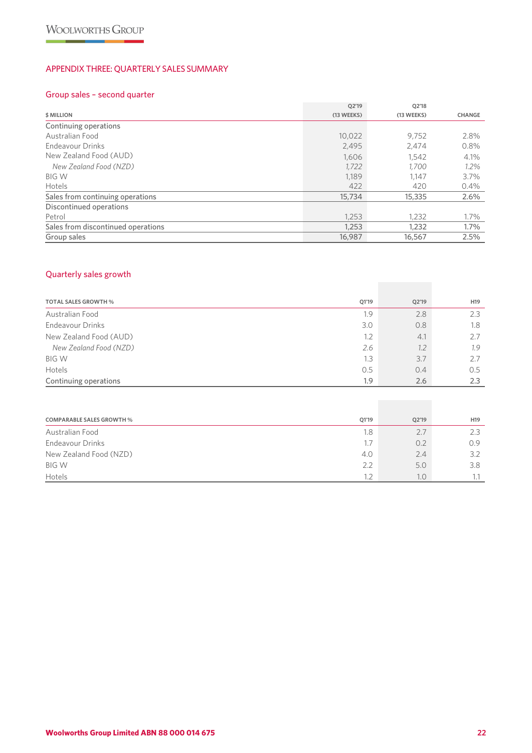# APPENDIX THREE: QUARTERLY SALES SUMMARY

# Group sales – second quarter

|                                    | Q2'19      | Q2'18      |               |
|------------------------------------|------------|------------|---------------|
| <b>\$ MILLION</b>                  | (13 WEEKS) | (13 WEEKS) | <b>CHANGE</b> |
| Continuing operations              |            |            |               |
| Australian Food                    | 10,022     | 9.752      | 2.8%          |
| Endeavour Drinks                   | 2,495      | 2,474      | 0.8%          |
| New Zealand Food (AUD)             | 1,606      | 1.542      | 4.1%          |
| New Zealand Food (NZD)             | 1,722      | 1,700      | $1.2\%$       |
| <b>BIG W</b>                       | 1,189      | 1,147      | 3.7%          |
| <b>Hotels</b>                      | 422        | 420        | 0.4%          |
| Sales from continuing operations   | 15,734     | 15,335     | 2.6%          |
| Discontinued operations            |            |            |               |
| Petrol                             | 1.253      | 1.232      | 1.7%          |
| Sales from discontinued operations | 1,253      | 1,232      | 1.7%          |
| Group sales                        | 16,987     | 16,567     | 2.5%          |

# Quarterly sales growth

| <b>TOTAL SALES GROWTH %</b> | Q1'19 | Q2'19 | H <sub>19</sub> |
|-----------------------------|-------|-------|-----------------|
| Australian Food             | 1.9   | 2.8   | 2.3             |
| <b>Endeavour Drinks</b>     | 3.0   | 0.8   | 1.8             |
| New Zealand Food (AUD)      | 1.2   | 4.1   | 2.7             |
| New Zealand Food (NZD)      | 2.6   | 1.2   | 1.9             |
| <b>BIG W</b>                | 1.3   | 3.7   | 2.7             |
| Hotels                      | 0.5   | 0.4   | 0.5             |
| Continuing operations       | 1.9   | 2.6   | 2.3             |

| <b>COMPARABLE SALES GROWTH %</b> | Q1'19 | Q2'19 | H <sub>19</sub> |
|----------------------------------|-------|-------|-----------------|
| Australian Food                  | 1.8   | 2.7   |                 |
| <b>Endeavour Drinks</b>          | 1.7   | 0.2   | 0.9             |
| New Zealand Food (NZD)           | 4.0   | 2.4   | 3.2             |
| <b>BIG W</b>                     | 2.2   | 5.0   | 3.8             |
| Hotels                           | 1.2   | 0.1   |                 |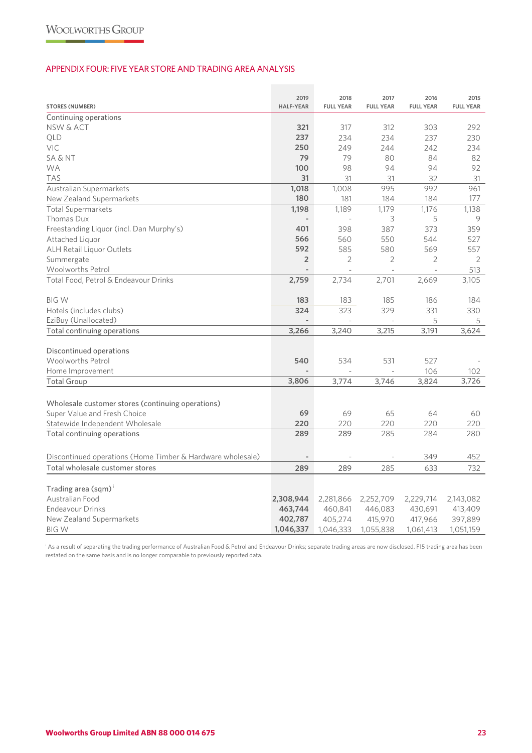### APPENDIX FOUR: FIVE YEAR STORE AND TRADING AREA ANALYSIS

| <b>STORES (NUMBER)</b>                                     | 2019<br><b>HALF-YEAR</b> | 2018<br><b>FULL YEAR</b> | 2017<br><b>FULL YEAR</b> | 2016<br><b>FULL YEAR</b> | 2015<br><b>FULL YEAR</b> |
|------------------------------------------------------------|--------------------------|--------------------------|--------------------------|--------------------------|--------------------------|
| Continuing operations                                      |                          |                          |                          |                          |                          |
| NSW & ACT                                                  | 321                      | 317                      | 312                      | 303                      | 292                      |
| QLD                                                        | 237                      | 234                      | 234                      | 237                      | 230                      |
| <b>VIC</b>                                                 | 250                      | 249                      | 244                      | 242                      | 234                      |
| <b>SA &amp; NT</b>                                         | 79                       | 79                       | 80                       | 84                       | 82                       |
| <b>WA</b>                                                  | 100                      | 98                       | 94                       | 94                       | 92                       |
| <b>TAS</b>                                                 | 31                       | 31                       | 31                       | 32                       | 31                       |
| Australian Supermarkets                                    | 1,018                    | 1,008                    | 995                      | 992                      | 961                      |
| New Zealand Supermarkets                                   | 180                      | 181                      | 184                      | 184                      | 177                      |
| <b>Total Supermarkets</b>                                  | 1,198                    | 1.189                    | 1,179                    | 1.176                    | 1,138                    |
| Thomas Dux                                                 |                          |                          | 3                        | 5                        | 9                        |
| Freestanding Liquor (incl. Dan Murphy's)                   | 401                      | 398                      | 387                      | 373                      | 359                      |
| Attached Liguor                                            | 566                      | 560                      | 550                      | 544                      | 527                      |
| ALH Retail Liquor Outlets                                  | 592                      | 585                      | 580                      | 569                      | 557                      |
| Summergate                                                 | $\overline{2}$           | $\overline{2}$           | $\overline{2}$           | $\overline{2}$           | 2                        |
| Woolworths Petrol                                          |                          |                          | $\overline{\phantom{a}}$ | ÷,                       | 513                      |
| Total Food, Petrol & Endeavour Drinks                      | 2,759                    | 2,734                    | 2,701                    | 2,669                    | 3,105                    |
|                                                            |                          |                          |                          |                          |                          |
| <b>BIG W</b>                                               | 183                      | 183                      | 185                      | 186                      | 184                      |
| Hotels (includes clubs)                                    | 324                      | 323                      | 329                      | 331                      | 330                      |
| EziBuy (Unallocated)                                       |                          |                          |                          | 5                        | 5                        |
| Total continuing operations                                | 3,266                    | 3,240                    | 3,215                    | 3,191                    | 3,624                    |
|                                                            |                          |                          |                          |                          |                          |
| Discontinued operations                                    |                          |                          |                          |                          |                          |
| <b>Woolworths Petrol</b>                                   | 540                      | 534                      | 531                      | 527                      |                          |
| Home Improvement                                           |                          |                          |                          | 106                      | 102                      |
| <b>Total Group</b>                                         | 3,806                    | 3,774                    | 3,746                    | 3,824                    | 3,726                    |
|                                                            |                          |                          |                          |                          |                          |
| Wholesale customer stores (continuing operations)          |                          |                          |                          |                          |                          |
| Super Value and Fresh Choice                               | 69                       | 69                       | 65                       | 64                       | 60                       |
| Statewide Independent Wholesale                            | 220                      | 220                      | 220                      | 220                      | 220                      |
| Total continuing operations                                | 289                      | 289                      | 285                      | 284                      | 280                      |
|                                                            |                          |                          |                          |                          |                          |
| Discontinued operations (Home Timber & Hardware wholesale) |                          |                          |                          | 349                      | 452                      |
| Total wholesale customer stores                            | 289                      | 289                      | 285                      | 633                      | 732                      |
|                                                            |                          |                          |                          |                          |                          |
| Trading area (sqm) <sup>i</sup>                            |                          |                          |                          |                          |                          |
| Australian Food                                            | 2,308,944                | 2,281,866                | 2,252,709                | 2,229,714                | 2,143,082                |
| <b>Endeavour Drinks</b>                                    | 463,744                  | 460,841                  | 446,083                  | 430,691                  | 413,409                  |
| New Zealand Supermarkets                                   | 402,787                  | 405,274                  | 415,970                  | 417,966                  | 397,889                  |
| <b>BIGW</b>                                                | 1,046,337                | 1,046,333                | 1,055,838                | 1,061,413                | 1,051,159                |

i As a result of separating the trading performance of Australian Food & Petrol and Endeavour Drinks; separate trading areas are now disclosed. F15 trading area has been restated on the same basis and is no longer comparable to previously reported data.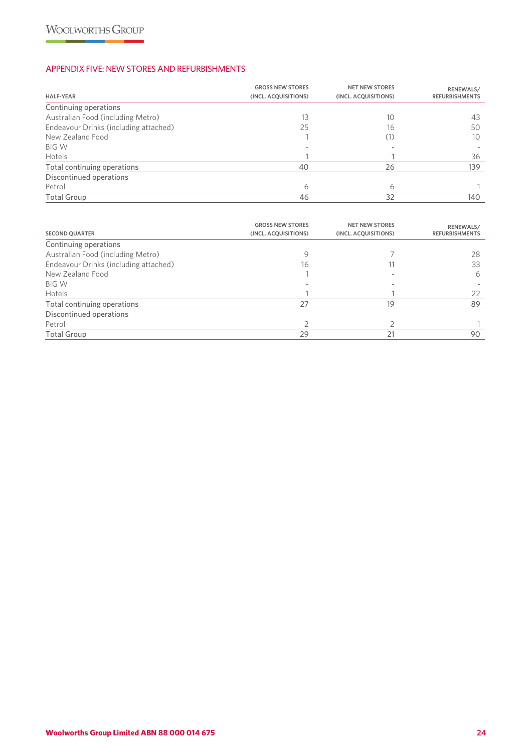# APPENDIX FIVE: NEW STORES AND REFURBISHMENTS

| <b>HALF-YEAR</b>                      | <b>GROSS NEW STORES</b><br>(INCL. ACQUISITIONS) | <b>NET NEW STORES</b><br>(INCL. ACQUISITIONS) | RENEWALS/<br><b>REFURBISHMENTS</b> |
|---------------------------------------|-------------------------------------------------|-----------------------------------------------|------------------------------------|
| Continuing operations                 |                                                 |                                               |                                    |
| Australian Food (including Metro)     | 13                                              | 10                                            | 43                                 |
| Endeavour Drinks (including attached) | 25                                              | 16                                            | 50                                 |
| New Zealand Food                      |                                                 |                                               | 10                                 |
| <b>BIG W</b>                          |                                                 |                                               |                                    |
| Hotels                                |                                                 |                                               | 36                                 |
| Total continuing operations           | 40                                              | 26                                            | 139                                |
| Discontinued operations               |                                                 |                                               |                                    |
| Petrol                                | 6                                               | 6                                             |                                    |
| <b>Total Group</b>                    | 46                                              | 32                                            | 140                                |

| <b>SECOND QUARTER</b>                 | <b>GROSS NEW STORES</b><br>(INCL. ACQUISITIONS) | <b>NET NEW STORES</b><br>(INCL. ACQUISITIONS) | RENEWALS/<br><b>REFURBISHMENTS</b> |
|---------------------------------------|-------------------------------------------------|-----------------------------------------------|------------------------------------|
| Continuing operations                 |                                                 |                                               |                                    |
| Australian Food (including Metro)     | 9                                               |                                               | 28                                 |
| Endeavour Drinks (including attached) | 16                                              |                                               | 33                                 |
| New Zealand Food                      |                                                 |                                               | 6                                  |
| <b>BIG W</b>                          |                                                 |                                               |                                    |
| Hotels                                |                                                 |                                               | 22                                 |
| Total continuing operations           | 27                                              | 19                                            | 89                                 |
| Discontinued operations               |                                                 |                                               |                                    |
| Petrol                                |                                                 |                                               |                                    |
| <b>Total Group</b>                    | 29                                              | 21                                            | 90                                 |